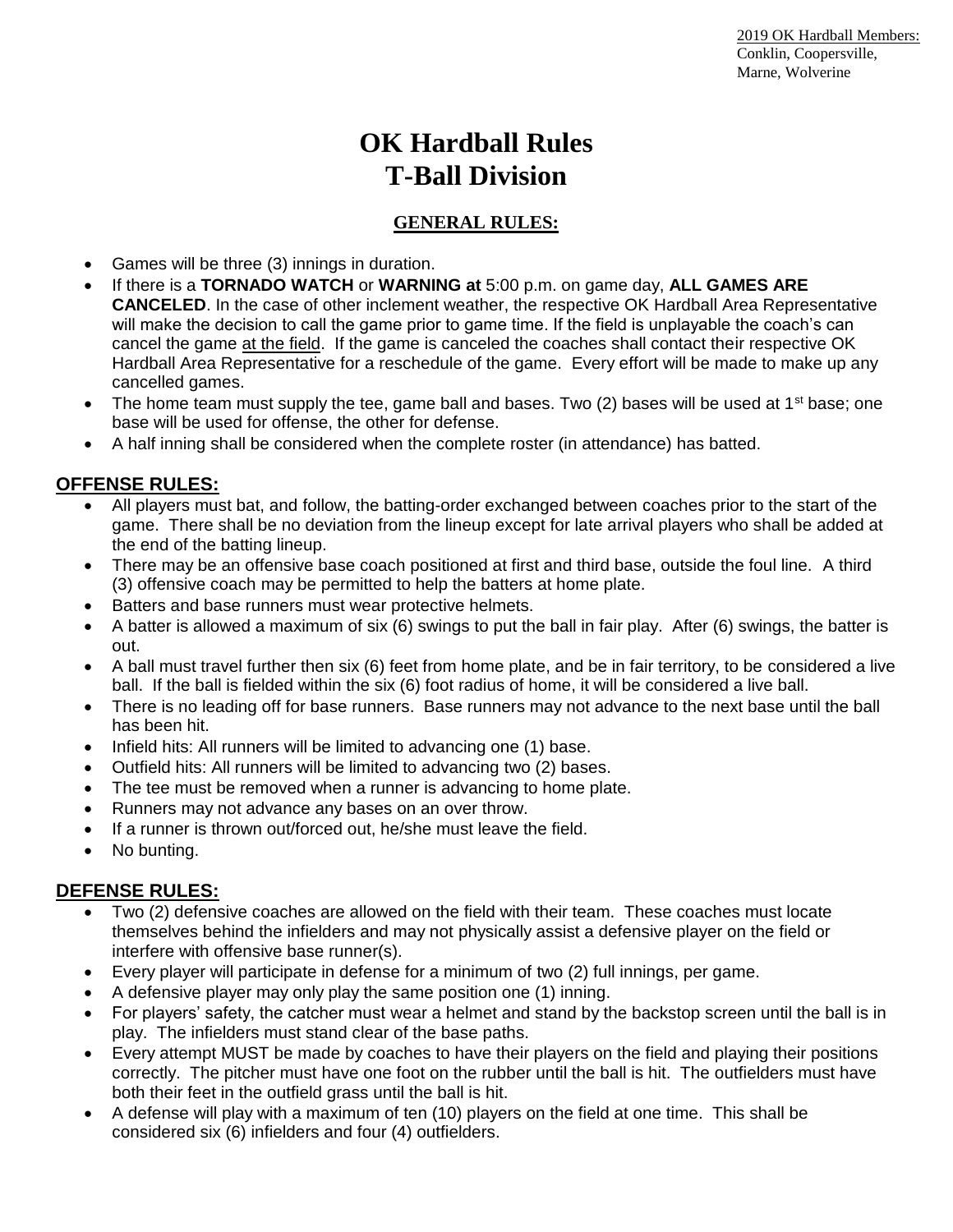# **OK Hardball Rules T-Ball Division**

## **GENERAL RULES:**

- Games will be three (3) innings in duration.
- If there is a **TORNADO WATCH** or **WARNING at** 5:00 p.m. on game day, **ALL GAMES ARE CANCELED**. In the case of other inclement weather, the respective OK Hardball Area Representative will make the decision to call the game prior to game time. If the field is unplayable the coach's can cancel the game at the field. If the game is canceled the coaches shall contact their respective OK Hardball Area Representative for a reschedule of the game. Every effort will be made to make up any cancelled games.
- The home team must supply the tee, game ball and bases. Two (2) bases will be used at 1<sup>st</sup> base; one base will be used for offense, the other for defense.
- A half inning shall be considered when the complete roster (in attendance) has batted.

### **OFFENSE RULES:**

- All players must bat, and follow, the batting-order exchanged between coaches prior to the start of the game. There shall be no deviation from the lineup except for late arrival players who shall be added at the end of the batting lineup.
- There may be an offensive base coach positioned at first and third base, outside the foul line. A third (3) offensive coach may be permitted to help the batters at home plate.
- Batters and base runners must wear protective helmets.
- A batter is allowed a maximum of six (6) swings to put the ball in fair play. After (6) swings, the batter is out.
- A ball must travel further then six (6) feet from home plate, and be in fair territory, to be considered a live ball. If the ball is fielded within the six (6) foot radius of home, it will be considered a live ball.
- There is no leading off for base runners. Base runners may not advance to the next base until the ball has been hit.
- Infield hits: All runners will be limited to advancing one (1) base.
- Outfield hits: All runners will be limited to advancing two (2) bases.
- The tee must be removed when a runner is advancing to home plate.
- Runners may not advance any bases on an over throw.
- If a runner is thrown out/forced out, he/she must leave the field.
- No bunting.

### **DEFENSE RULES:**

- Two (2) defensive coaches are allowed on the field with their team. These coaches must locate themselves behind the infielders and may not physically assist a defensive player on the field or interfere with offensive base runner(s).
- Every player will participate in defense for a minimum of two (2) full innings, per game.
- A defensive player may only play the same position one (1) inning.
- For players' safety, the catcher must wear a helmet and stand by the backstop screen until the ball is in play. The infielders must stand clear of the base paths.
- Every attempt MUST be made by coaches to have their players on the field and playing their positions correctly. The pitcher must have one foot on the rubber until the ball is hit. The outfielders must have both their feet in the outfield grass until the ball is hit.
- A defense will play with a maximum of ten (10) players on the field at one time. This shall be considered six (6) infielders and four (4) outfielders.